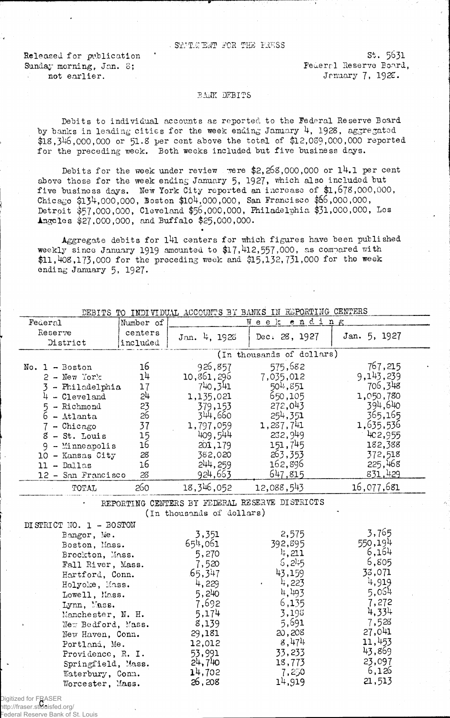## STATE ENT FOR THE PRESS

Released for publication Sunday morning, Jan. S; not earlier.

st. 5631 Federal Reserve Board, Jenuary 7, 1922.

## BANE DEBITS

Debits to individual accounts as reported to the Federal Reserve Board by banks in leading cities for the week ending January 4, 1928, aggregated \$18,346,000,000 or 51-8 per cent above the total of \$12,029,000,000 reported for the preceding week. Both weeks included but five business days.

Debits for the week under review were  $2,268,000,000$  or  $14.1$  per cent above those for the week ending January 5, 1927, which also included but five business days. New York City reported an increase of \$1,678,000,000, Chicago \$134,000,000, Boston \$104,000,000, San Francisco \$66,000,000, Detroit \$57,000,000, Cleveland \$56,000,000, Philadelphia \$31,000,000, Los Angeles \$27,000,000, and Buffalo \$25,000,000.

Aggregate debits for  $141$  centers for which figures have been published weekly since January 1919 amounted to \$17.412,557.000, as compared with \$11,408,173,000 for the preceding week and \$15,132,731,000 for the week ending January 5, 1927.

**\***

|                         |           |                           | DEBITS TO INDIVIDUAL ACCOUNTS BY BANKS IN REPORTING CENTERS |              |
|-------------------------|-----------|---------------------------|-------------------------------------------------------------|--------------|
| Federal                 | Number of |                           | Week ending                                                 |              |
| Reserve                 | centers   |                           | Dec. 28, 1927                                               | Jan. 5, 1927 |
| District                | included  | Jan. 4, 1928              |                                                             |              |
|                         |           |                           | (In thousands of dollars)                                   |              |
| No. 1 - Boston          | 16        | 926,857                   | 575,682                                                     | 767,215      |
| $2 - \text{New Tork}$   | 14        | 10,861,296                | 7,035,012                                                   | 9,143,239    |
| - Philadelphia          | 17        | 740,341                   | $5011$ , $851$                                              | 706,348      |
| $4 - C1$ eveland        | 24        | 1,135,021                 | 650,105                                                     | 1,050,780    |
| - Richmond<br>5         | 23        | 379,153                   | 272,043                                                     | 394,640      |
| 6<br>$-$ Atlanta        | 26        | 344,660                   | 254,351                                                     | 365,165      |
| $7$ - Chicago           | 37        | 1,797,059                 | 1,287,741                                                   | 1,635,536    |
| $8 - St.$ Louis         | 15        | 409,544                   | 232,949                                                     | 4c2,955      |
|                         | 16        | 201,179                   | 151,745                                                     | 182,388      |
| $9 -$ Minneapolis       | 28        | 382,020                   | 263,353                                                     | 372,518      |
| 10 - Kansas City        | 16        | 244, 259                  | 162,896                                                     | 225,468      |
| $11 - Dallas$           |           | 924,663                   | 647,815                                                     | 831,429      |
| 12 - San Francisco      | 28        |                           |                                                             |              |
| TOTAL                   | 260       | 18,346,052                | 12,088,543                                                  | 16,077,681   |
|                         |           |                           | REPORTING CENTERS BY FEDERAL RESERVE DISTRICTS              |              |
|                         |           | (In thousands of dollars) |                                                             |              |
| DISTRICT NO. 1 - BOSTON |           |                           |                                                             |              |
| Bangor, Me.             |           | 3,351                     | 2,575                                                       | 3,765        |
| Boston, Mass.           |           | 654,061                   | 392,895                                                     | 550,194      |
| Brockton, Mass.         |           | 5,270                     | 4,211                                                       | 6,164        |
| Fall River, Mass.       |           | 7,520                     | 6, 245                                                      | 6,805        |
| Hartford, Conn.         |           | 65,347                    | 43,159                                                      | 33,071       |
| Holyoke, Mass.          |           | 4,229                     | 4,223                                                       | 4,919        |
| Lowell, Mass.           |           | 5,240                     | 4,493                                                       | 5,054        |
| Lynn, Mass.             |           | 7,692                     | 6,135                                                       | 7,272        |
|                         |           | 5,174                     | 3,198                                                       | 4,334        |
| Manchester, N. H.       |           | 8,139                     | 5,691                                                       | 7,528        |
| New Bedford, Mass.      |           |                           | 20,208                                                      | 27,041       |
| New Haven, Conn.        |           | 29,181                    | 8,474                                                       | 11,453       |
| Portland, Me.           |           | 12,012                    |                                                             | 43,869       |
| Providence, R. I.       |           | 53,991                    | 33,233                                                      | 23,097       |
| Springfield, Mass.      |           | 24,740                    | 18,773                                                      | 6,126        |
| Waterbury, Conn.        |           | 14,702                    | 7,250<br>14,919                                             | 21,513       |
| Worcester, Mass.        |           | 26,208                    |                                                             |              |

Digitized for FRASER<br>http://fraser.sthnisfed. http://fraser.stlouisfed.org/ Federal Reserve Bank of St. Louis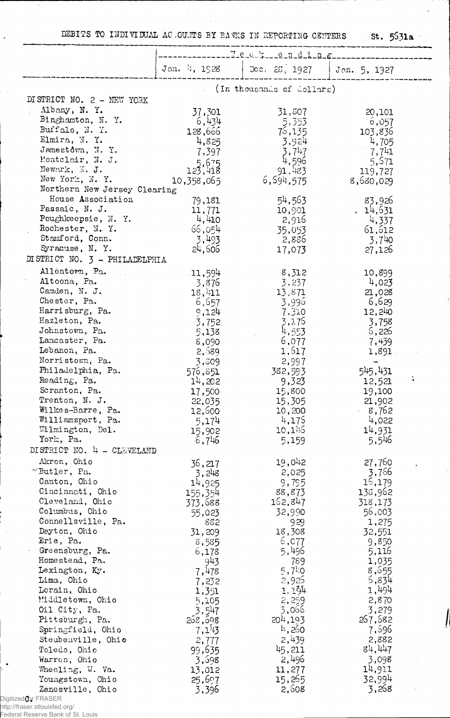DEBITS TO INDIVIDUAL ACCOUNTS BY BANKS IN REPORTING CENTERS

 $st. 5531a$ 

 $\ddot{\phantom{a}}$ 

 $\epsilon$  )  $\epsilon$ 

|                                                   | T.e.a.ke.n.d.i.n.g. |                           |                  |  |  |
|---------------------------------------------------|---------------------|---------------------------|------------------|--|--|
|                                                   | Jan. 4, 1928        | Dec. 23. 1927             | Jan. 5, 1927     |  |  |
|                                                   |                     | (In thousands of dollars) |                  |  |  |
| DISTRICT NO. 2 - NEW YORK                         |                     |                           |                  |  |  |
| Albany, N.Y.                                      | 37,301              | 31,807                    | 20,101           |  |  |
| Binghamton, N. Y.                                 | 6,434               | 5,353                     | 6,057            |  |  |
| Buffalo, N. 7.                                    | 128,666             | 75,135                    | 103,836          |  |  |
| Elmira, N.Y.                                      | 4,825               | 3,924                     | 4,705            |  |  |
| Jamestown, N.Y.                                   | 7,397               | 3,747                     | 7,741            |  |  |
| Montclair, N. J.                                  | 123, 418            | 4,596                     | 5,571            |  |  |
| Newark, N. J.                                     |                     | 91,483                    | 119,727          |  |  |
| New York, N.Y.                                    | 10,358,065          | 6,594,575                 | 8,680,029        |  |  |
| Northern New Jersey Clearing<br>House Association |                     |                           |                  |  |  |
| Passaic, N. J.                                    | 79,181<br>11,771    | 54,563                    | 83,926           |  |  |
| Poughkeepsie, N. Y.                               | 4,410               | 10,901<br>2,916           | .14,631<br>4,337 |  |  |
| Rochester, N.Y.                                   | 66,054              | 35,053                    | 61,612           |  |  |
| Stamford, Conn.                                   | 3,493               | 2,836                     | 3,740            |  |  |
| Syracuse, N.Y.                                    | 24,606              | 17,073                    | 27,126           |  |  |
| DI STRICT NO. 3 - PHILADELPHIA                    |                     |                           |                  |  |  |
| Allentown, Pa.                                    | .11,594             | 8,312                     | 10,899           |  |  |
| Altoona, Pa.                                      | 3,876               | 3,237                     | 4,023            |  |  |
| Camden, N. J.                                     | 18,411              | 13,871                    | 21,028           |  |  |
| Chester, Pa.                                      | 6,657               | 3,996                     | 6,629            |  |  |
| Harrisburg, Pa.                                   | 9,124               | 7,310                     | 12,240           |  |  |
| Hazleton, Pa.                                     | 3,752               | 3,176                     | 3,758            |  |  |
| Johnstown, Pa.                                    | 5,138               | 4,553                     | 6,226            |  |  |
| Lancaster, Pa.                                    | 8,090               | 6,077                     | 7,439            |  |  |
| Lebanon, Pa.                                      | 2,589               | 1,617                     | 1,891            |  |  |
| Norristown, Pa.<br>Philadelphia, Pa.              | 3,809               | 2,997                     | -                |  |  |
| Reading, Pa.                                      | 576,851<br>14,202   | 382,593                   | 545,431          |  |  |
| Scranton, Pa.                                     | 17,500              | 9,323<br>15,800           | 12,521<br>19,100 |  |  |
| Trenton, N. J.                                    | 22,035              | 15,305                    | 21,902           |  |  |
| Wilkes-Barre, Pa.                                 | 12,500              | 10,200                    | 8,762            |  |  |
| Williamsport, Pa.                                 | 5,174               | 4,175                     | 4,022            |  |  |
| Wilmington, Del.                                  | 15,902              | 10,146                    | 14,931           |  |  |
| York, Pa.                                         | 6,746               | 5,159                     | 5,546            |  |  |
| DISTRICT NO. 4 - CLEVELAND                        |                     |                           |                  |  |  |
| Akron, Ohio                                       | 36,217              | 19,042                    | 27,760           |  |  |
| "Butler, Pa.                                      | 3,248               | 2,025                     | 3,766            |  |  |
| Canton, Ohio                                      | 14,925              | 9,795                     | 16,179           |  |  |
| Cincinnati, Ohio                                  | 155,354             | 88,873                    | 138,962          |  |  |
| Cleveland, Ohio                                   | 373,688             | 162,847                   | 318,173          |  |  |
| Columbus, Ohio                                    | 55,023              | 32,990                    | 56,003           |  |  |
| Connellsville, Pa.<br>Dayton, Ohio                | 882                 | 929                       | 1,275            |  |  |
| Erie, Pa.                                         | 31,209              | 18,308<br>6,077           | 32,551<br>9,850  |  |  |
| Greensburg, Pa.                                   | 8,585<br>6,178      | 5,496                     | 5,116            |  |  |
| Homestead, Pa.                                    | 943                 | 789                       | 1,035            |  |  |
| Lexington, Ky.                                    | 7,478               | $5,71$ .0                 | 8,655            |  |  |
| Lima, Ohio                                        | 7,232               | 2,926                     | 5,834            |  |  |
| Lorain, Ohio                                      | 1,351               | 1, 194                    | 1,494            |  |  |
| Middletown, Ohio                                  | 5,105               | 2,259                     | 2,870            |  |  |
| Oil City, Pa.                                     | 3,547               | 3,066                     | 3,279            |  |  |
| Pittsburgh, Pa.                                   | 268,598             | 204,193                   | 267,682          |  |  |
| Springfield, Ohio                                 | 7,143               | $\mu$ , 260               | 7,596            |  |  |
| Steubenville, Ohio                                | 2,777               | 2,439                     | 2,882<br>84,447  |  |  |
| Toledo, Ohio<br>Warren, Ohio                      | 99,635              | 45,211<br>2,496           | 3,098            |  |  |
| Wheeling, W. Va.                                  | 3,698<br>13,012     | 11,277                    | 14,911           |  |  |
| Youngstown, Ohio                                  | 25,697              | 15,265                    | 32,994           |  |  |
| Zanesville, Ohio                                  | 3,396               | 2,608                     | 3,268            |  |  |
| d <b>u</b> or FRASER                              |                     |                           |                  |  |  |

Digitized(<mark>fo</mark>r FRASER<br>http://fraser.stlouisfed.org/<br>Federal Reserve Bank of St. Louis

 $\bullet$ 

 $\cdot$ 

 $\sim$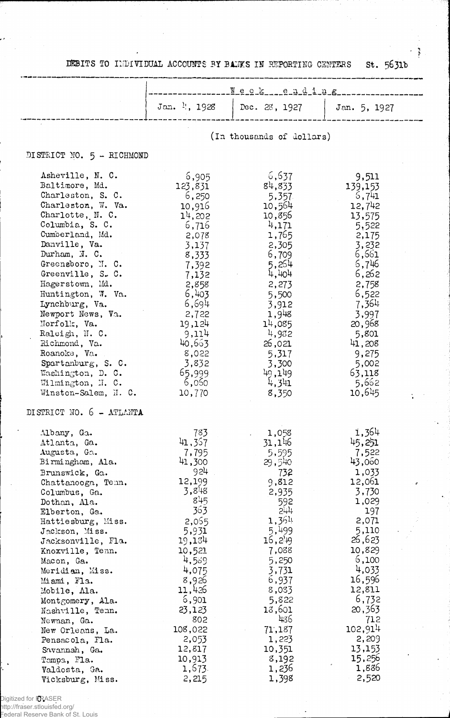|  |  | DEBITS TO INDIVIDUAL ACCOUNTS BY BANKS IN REPORTING CENTERS St. 5631b |  |  |  |  |  |  |  |  |
|--|--|-----------------------------------------------------------------------|--|--|--|--|--|--|--|--|
|--|--|-----------------------------------------------------------------------|--|--|--|--|--|--|--|--|

 $\bar{\beta}$ 

Ĵ,  $\label{eq:2} \begin{array}{c} \mathbb{E}\left[\frac{1}{2}\right] \\ \frac{1}{2} \end{array}$ 

 $\ddot{\psi}$ 

 $\bar{\gamma}$ 

 $\hat{\mathcal{S}}$ 

 $\frac{1}{2}$ 

 $\bar{\beta}$ 

è,

 $\bar{\mathcal{A}}$ 

|                                                                                                                                                                                                                                                                                                                                                                                                                                                                                            | Neck ending                                                                                                                                                                                                                             |                                                                                                                                                                                                                                      |                                                                                                                                                                                                                                                |  |  |
|--------------------------------------------------------------------------------------------------------------------------------------------------------------------------------------------------------------------------------------------------------------------------------------------------------------------------------------------------------------------------------------------------------------------------------------------------------------------------------------------|-----------------------------------------------------------------------------------------------------------------------------------------------------------------------------------------------------------------------------------------|--------------------------------------------------------------------------------------------------------------------------------------------------------------------------------------------------------------------------------------|------------------------------------------------------------------------------------------------------------------------------------------------------------------------------------------------------------------------------------------------|--|--|
|                                                                                                                                                                                                                                                                                                                                                                                                                                                                                            | Jan. 1, 1928                                                                                                                                                                                                                            | Dec. 28, 1927                                                                                                                                                                                                                        | Jan. 5, 1927                                                                                                                                                                                                                                   |  |  |
|                                                                                                                                                                                                                                                                                                                                                                                                                                                                                            |                                                                                                                                                                                                                                         | (In thousands of dollars)                                                                                                                                                                                                            |                                                                                                                                                                                                                                                |  |  |
| DISTRICT NO. 5 - RICHMOND                                                                                                                                                                                                                                                                                                                                                                                                                                                                  |                                                                                                                                                                                                                                         |                                                                                                                                                                                                                                      |                                                                                                                                                                                                                                                |  |  |
| Asheville, N. C.<br>Baltimore, Md.<br>Charleston, S. C.<br>Charleston, W. Va.<br>Charlotte, N. C.<br>Columbia, S. C.<br>Cumberland, Md.<br>Danville, Va.<br>Durham, N. C.<br>Greensboro, N. C.<br>Greenville, S. C.<br>Hagerstown, Md.<br>Huntington, W. Va.<br>Lynchburg, Va.<br>Newport News, Va.<br>Norfolk, Va.<br>Raleigh, N. C.<br>Richmond, Va.<br>Roanoke, Va.<br>Spartanburg, S. C.<br>Washington, D. C.<br>Wilmington, N. C.<br>Winston-Salem, N. C.<br>DISTRICT NO. 6 - ATLANTA | 6,905<br>123,831<br>6,250<br>10,916<br>$11$ , 202<br>6,716<br>2,078<br>3,137<br>8,333<br>7,392<br>7,132<br>2,858<br>6,403<br>6,694<br>2,722<br>19,124<br>9,114<br>40,663<br>8,022<br>3,832<br>65,999<br>6,060<br>10,770                 | 6,637<br>84,833<br>5,357<br>10,564<br>10,856<br>4,171<br>1,765<br>2,305<br>6,709<br>5,254<br>4,404<br>2,273<br>5,500<br>3,912<br>1,948<br>14,085<br>4,932<br>26,021<br>5,317<br>3,300<br>49,149<br>4,341<br>8,350                    | 9,511<br>139,153<br>5,741<br>12,742<br>13,575<br>5,522<br>2,175<br>3,232<br>6,661<br>6,746<br>6,262<br>2,758<br>6,522<br>7,364<br>3,997<br>20,968<br>5,801<br>41,208<br>9,275<br>5,002<br>63,118<br>5,662<br>10,645                            |  |  |
| Albany, Ga.<br>Atlanta, Ga.<br>Augusta, Ga.<br>Birmingham, Ala.<br>Brunswick, Ga.<br>Chattanooga, Tenn.<br>Columbus, Ga.<br>Dothan, Ala.<br>Elberton, Ga.<br>Hattiesburg, Miss.<br>Jackson, Miss.<br>Jacksonville, Fla.<br>Knoxville, Tenn.<br>Macon, Ga.<br>Meridian, Miss.<br>Miami, Fla.<br>Mobile, Ala.<br>Montgomery, Ala.<br>Nashville, Tenn.<br>Newnan, Ga.<br>New Orleans, La.<br>Pensacola, Fla.<br>Savannah, Ga.<br>Tempa, Fla.<br>Valdosta, Ga.<br>Vicksburg, Miss.             | 783<br>41,367<br>7,795<br>41,300<br>924<br>12,199<br>3,848<br>845<br>363<br>2,065<br>5,931<br>19,134<br>10,521<br>4,589<br>4,075<br>8,926<br>11,426<br>6,901<br>23,123<br>802<br>108,022<br>2,053<br>12,817<br>10,913<br>1,673<br>2,215 | 1,058<br>31,146<br>5,595<br>29,540<br>732<br>9,812<br>2,935<br>592<br>5#1<br>1,364<br>5,499<br>16,249<br>7,088<br>5,250<br>3,731<br>6,937<br>8,083<br>5,822<br>13,601<br>436<br>71,187<br>1,223<br>10,351<br>8,192<br>1,236<br>1,398 | 1,364<br>45,251<br>7,522<br>43,060<br>1,033<br>12,061<br>3,730<br>1,029<br>197<br>2,071<br>5,110<br>26,623<br>10,829<br>6,100<br>4,033<br>16,596<br>12,811<br>6,732<br>20,363<br>712<br>102,914<br>2,209<br>13,153<br>15,256<br>1,886<br>2,520 |  |  |

Digitized for FRASER

 $\mathcal{L}$ 

 $\bar{\phantom{a}}$ 

http://fraser.stlouisfed.org/ Federal Reserve Bank of St. Louis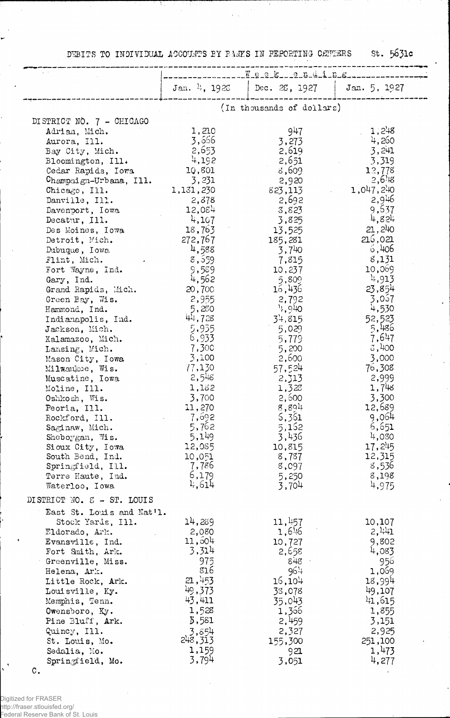DEBITS TO INDIVIDUAL ACCOUNTS BY BANKS IN PEPORTING CENTERS

st. 5631c

|                                                                                                                                                                                                                                                                                                                                                                                                                                                                                                                                                                                                                                                                                                                                  | Jan. $\frac{11}{4}$ , 1928                                                                                                                                                                                                                                                                                                                      | Dec. $25$ , 1927                                                                                                                                                                                                                                                                                                                             | Jan. 5, 1927                                                                                                                                                                                                                                                                                                                                                              |  |  |
|----------------------------------------------------------------------------------------------------------------------------------------------------------------------------------------------------------------------------------------------------------------------------------------------------------------------------------------------------------------------------------------------------------------------------------------------------------------------------------------------------------------------------------------------------------------------------------------------------------------------------------------------------------------------------------------------------------------------------------|-------------------------------------------------------------------------------------------------------------------------------------------------------------------------------------------------------------------------------------------------------------------------------------------------------------------------------------------------|----------------------------------------------------------------------------------------------------------------------------------------------------------------------------------------------------------------------------------------------------------------------------------------------------------------------------------------------|---------------------------------------------------------------------------------------------------------------------------------------------------------------------------------------------------------------------------------------------------------------------------------------------------------------------------------------------------------------------------|--|--|
|                                                                                                                                                                                                                                                                                                                                                                                                                                                                                                                                                                                                                                                                                                                                  |                                                                                                                                                                                                                                                                                                                                                 | (In thousands of dollars)                                                                                                                                                                                                                                                                                                                    |                                                                                                                                                                                                                                                                                                                                                                           |  |  |
| DISTRICT NO. 7 - CHICAGO<br>Adrian, Mich.<br>Aurora, Ill.<br>Bay City, Mich.<br>Bloomington, Ill.<br>Cedar Rapids, Iowa<br>Champaign-Urbana, Ill.<br>Chicago, $I11.$<br>Danville, Ill.<br>Davenport, Iowa<br>Decatur, Ill.<br>Des Moines, Iowa<br>Detroit, Mich.<br>Dubuque, Iowa<br>Flint, Mich.<br>Fort Wayne, Ind.<br>Gary, Ind.<br>Grand Rapids, Mich.<br>Green Bay, Wis.<br>Hammond, Ind.<br>Indianapolis, Ind.<br>Jackson, Mich.<br>Kalamazoo, Mich.<br>Lansing, Mich.<br>Mason City, Iowa<br>Milwaukee, Wis.<br>Muscatine, Iowa<br>Moline, Ill.<br>Oshkosh, Wis.<br>Peoria, Ill.<br>Rockford, Ill.<br>Saginaw, Mich.<br>Sheboygan, Wis.<br>Sioux City, Iowa<br>South Bend, Ind.<br>Springfield, Ill.<br>Terre Haute, Ind. | 1,210<br>3,666<br>2,653<br>4,192<br>10,801<br>3,231<br>1,131,230<br>2,878<br>12,084<br>4,107<br>18,763<br>272,767<br>4,588<br>8,559<br>9,589<br>4,562<br>20,700<br>2,955<br>5,280<br>44,728<br>5,935<br>6,933<br>7,300<br>3,100<br>77,130<br>2,548<br>1,132<br>3,700<br>11,270<br>7,692<br>5,762<br>5,149<br>12,085<br>10,051<br>7,786<br>6,179 | 947<br>3,273<br>2,619<br>2,651<br>8,609<br>2,920<br>823,113<br>2,692<br>3,823<br>3,825<br>13,525<br>185,281<br>$3,7^{4}0$<br>7,815<br>10,237<br>5,809<br>16,436<br>2,792<br>,940<br>34,815<br>5,029<br>5,779<br>5,200<br>2,600<br>57,524<br>2,313<br>1,328<br>2,500<br>8,894<br>5,361<br>5,152<br>3,436<br>10,815<br>8,787<br>8,097<br>5,250 | 1,248<br>4,260<br>3,241<br>3,319<br>12,778<br>$2,6$ <sup>1</sup> <sup>8</sup><br>1,047,240<br>2,946<br>9,637<br>4,824<br>21,240<br>216,021<br>6,406<br>8,131<br>10,069<br>4,913<br>23,854<br>3,057<br>4,530<br>52,523<br>5,486<br>7,647<br>3,400<br>3,000<br>76,308<br>2,999<br>1,748<br>3,300<br>12,689<br>9,064<br>6,651<br>4,080<br>17,245<br>12,315<br>8,536<br>8,198 |  |  |
| Waterloo, Iowa                                                                                                                                                                                                                                                                                                                                                                                                                                                                                                                                                                                                                                                                                                                   | 4,614                                                                                                                                                                                                                                                                                                                                           | 3,704                                                                                                                                                                                                                                                                                                                                        | 4,975                                                                                                                                                                                                                                                                                                                                                                     |  |  |
| DISTRICT NO. $\mathcal{E}$ - ST. LOUIS<br>East St. Louis and Nat'l.                                                                                                                                                                                                                                                                                                                                                                                                                                                                                                                                                                                                                                                              |                                                                                                                                                                                                                                                                                                                                                 |                                                                                                                                                                                                                                                                                                                                              |                                                                                                                                                                                                                                                                                                                                                                           |  |  |
| Stock Yards, Ill.<br>Eldorado, Ark.<br>Evansville, Ind.<br>Fort Smith, Ark.<br>Greenville, Miss.<br>Helena, Ark.<br>Little Rock, Ark.<br>Louisville, Ky.<br>Memphis, Tenn.<br>Owensboro, Ky.<br>Pine Bluff, Ark.<br>Quincy, Ill.<br>St. Louis, Mo.<br>Sedalia, Mo.<br>Springfield, Mo.                                                                                                                                                                                                                                                                                                                                                                                                                                           | 14,289<br>2,080<br>11,504<br>3,314<br>975<br>816<br>21,453<br>49,373<br>43,411<br>1,528<br>3,581<br>3,854<br>248,313<br>1,159<br>3,794                                                                                                                                                                                                          | 11,457<br>$1,6\%$<br>10,727<br>2,658<br>$8 + 8$<br>964<br>16,104<br>33,078<br>35,043<br>1,366<br>2,459<br>2,327<br>155,300<br>921<br>3,051                                                                                                                                                                                                   | 10,107<br>2,441<br>9,802<br>4,083<br>956<br>1,069<br>18,994<br>49,107<br>41,615<br>1,855<br>3,151<br>2,925<br>251,100<br>1,473<br>4,277                                                                                                                                                                                                                                   |  |  |

 $\circ$ .

 $\mathbf{C}^{\mathbf{X}}$ 

Digitized for FRASER<br>http://fraser.stlouisfed.org/<br>Federal Reserve Bank of St. Louis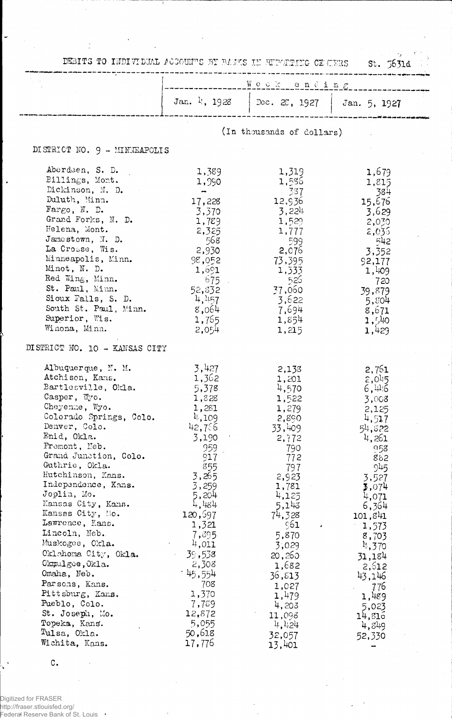| DEBITS TO INDIVIDUAL ACCOUNTS BY BANKS IN REPARTING OF TERS                                                                                                                                                                                                                                                                                                                                                                                                                                                                                                                                  |                                                                                                                                                                                                                                                                                 | Weekending                                                                                                                                                                                                                                                       | 5.5631d                                                                                                                                                                                                                                                       |
|----------------------------------------------------------------------------------------------------------------------------------------------------------------------------------------------------------------------------------------------------------------------------------------------------------------------------------------------------------------------------------------------------------------------------------------------------------------------------------------------------------------------------------------------------------------------------------------------|---------------------------------------------------------------------------------------------------------------------------------------------------------------------------------------------------------------------------------------------------------------------------------|------------------------------------------------------------------------------------------------------------------------------------------------------------------------------------------------------------------------------------------------------------------|---------------------------------------------------------------------------------------------------------------------------------------------------------------------------------------------------------------------------------------------------------------|
|                                                                                                                                                                                                                                                                                                                                                                                                                                                                                                                                                                                              |                                                                                                                                                                                                                                                                                 | Jan. 4, 1928   Dec. 28, 1927   Jan. 5, 1927                                                                                                                                                                                                                      |                                                                                                                                                                                                                                                               |
|                                                                                                                                                                                                                                                                                                                                                                                                                                                                                                                                                                                              |                                                                                                                                                                                                                                                                                 | (In thousands of dollars)                                                                                                                                                                                                                                        |                                                                                                                                                                                                                                                               |
| DISTRICT NO. 9 - MINNEAPOLIS                                                                                                                                                                                                                                                                                                                                                                                                                                                                                                                                                                 |                                                                                                                                                                                                                                                                                 |                                                                                                                                                                                                                                                                  |                                                                                                                                                                                                                                                               |
| Aberdeen, S. D.<br>Billings, Mont.<br>Dickinson, N. D.<br>Duluth, Minn.<br>Fargo, N. D.<br>Grand Forks, N. D.<br>Helena, Mont.<br>Jamestown, N. D.<br>La Crosse, Wis.<br>Minneapolis, Minn.<br>Minot, N. D.<br>Red Wing, Minn.<br>St. Paul, Minn.<br>Sioux Falls, S. D.<br>South St. Paul, Minn.<br>Superior, Wis.<br>Winona, Minn.                                                                                                                                                                                                                                                          | 1,389<br>1,990<br>$\overline{\phantom{a}}$<br>17,228<br>3,370<br>1,729<br>2,325<br>- 568<br>2,930<br>98,052<br>1,691<br>675.<br>52,832<br>4,457<br>8,064<br>1,765<br>2,054                                                                                                      | 1,319<br>1,586<br>$-337$<br>12,936<br>3,224<br>1,529<br>1,777<br>599<br>2,076<br>73,395<br>1,333<br>525<br>37,060<br>3,622<br>7,694<br>1,854<br>1,215                                                                                                            | 1,679<br>1,815<br>-384<br>15,676<br>3,629<br>2,030<br>2,035<br>542<br>3,352<br>92,177<br>1,409<br>720<br>39,879<br>5,804<br>8,671<br>1,540<br>1,429                                                                                                           |
| DISTRICT NO. 10 - KANSAS CITY                                                                                                                                                                                                                                                                                                                                                                                                                                                                                                                                                                |                                                                                                                                                                                                                                                                                 |                                                                                                                                                                                                                                                                  |                                                                                                                                                                                                                                                               |
| Albuquerque, N. M.<br>Atchison, Kans.<br>Bartlesville, Okla.<br>$\text{Casper}, \ \mathbb{W}$ o.<br>Cheyenne, Wyo.<br>Colorado Springs, Colo.<br>Denver, Colo.<br>Enid, Okla.<br>Fremont, Neb.<br>Grand Junction, Colo.<br>Guthrie, Okla.<br>Hutchinson, Kans.<br>Independence, Kans.<br>Joplin, Mo.<br>Kansas City, Kans.<br>Kansas City, Mo.<br>Lawrence, Kans.<br>Lincoln, Neb.<br>Muskogee, Ckla.<br>Oklahoma City, Okla.<br>Okmulgee, Okla.<br>Omaha, Neb.<br>Parsons, Kans.<br>Pittsburg, Kans.<br>Pueblo, Colo.<br>St. Joseph, Mo.<br>Topeka, Kans.<br>Tulsa, Okla.<br>Wichita, Kans. | 3,427<br>1,362<br>5,378<br>1,828<br>1,281<br>4,109<br>42,756<br>3,190<br>959<br>917<br>855<br>3,265<br>3,259<br>5,204<br>4,484<br>120,697<br>1,321<br>7,395<br>4,011<br>39,538<br>2,308<br><sup>. 45</sup> ,554<br>708<br>1,370<br>7,789<br>12,872<br>5,055<br>50,618<br>17,776 | 2,133<br>1,201<br>4,570<br>1,522<br>1,279<br>2,890<br>33,409<br>2,772<br>790<br>772<br>797<br>2,923<br>1,781<br>4,125<br>5,143<br>74,328<br>961<br>5,870<br>3,029<br>20,260<br>1,682<br>36,813<br>1,027<br>1,479<br>4,203<br>11,098<br>4,424<br>32,057<br>13,401 | 2,761<br>$2,0^{15}$<br>6,44.6<br>3,008<br>2,125<br>4,517<br>54,822<br>4,261<br>958<br>882<br>945<br>3,527<br>3,074<br>4,071<br>6,364<br>101,841<br>1,573<br>8,703<br>4,370<br>31,184<br>2,612<br>43,146<br>776<br>1,489<br>5,023<br>14,816<br>4,349<br>52,330 |

 $\ddot{\phantom{a}}$ 

 $\mathbb{R}^2$ 

 $\bar{\phantom{a}}$ 

Digitized for FRASER<br>http://fraser.stlouisfed.org/<br>Federal Reserve Bank of St. Louis '

 $\mathbf{C}$  .

 $\bar{\beta}$ 

 $\ddot{\phantom{a}}$ 

 $\mathbf{r}$ 

 $\overline{\phantom{a}}$ 

 $\ddot{\phantom{a}}$ 

 $\frac{1}{\sqrt{2}}\sum_{i=1}^{n} \frac{1}{\sqrt{2}}\left(\frac{1}{\sqrt{2}}\right)^2\left(\frac{1}{\sqrt{2}}\right)^2\left(\frac{1}{\sqrt{2}}\right)^2\left(\frac{1}{\sqrt{2}}\right)^2\left(\frac{1}{\sqrt{2}}\right)^2\left(\frac{1}{\sqrt{2}}\right)^2\left(\frac{1}{\sqrt{2}}\right)^2\left(\frac{1}{\sqrt{2}}\right)^2\left(\frac{1}{\sqrt{2}}\right)^2\left(\frac{1}{\sqrt{2}}\right)^2\left(\frac{1}{\sqrt{2}}\right)^2\left(\frac{1}{\sqrt{2}}\right$ 

 $\frac{1}{2}$